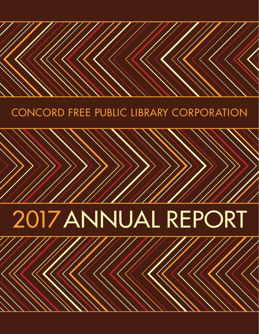## Concord Free Public Library Corporation

# 2017 ANNUAL REPORT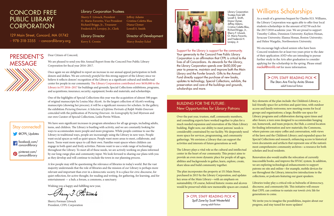Dear Citizen of Concord,

We are pleased to send you this Annual Report from the Concord Free Public Library Corporation for fiscal year 2016–2017.

Once again we are delighted to report an increase in our annual appeal participation in both donors and dollars. We are *extremely grateful* for this strong support of the Library since we believe it reflects donors' recognition of the Library as a significant cultural and intellectual center for people in our community. The Library Corporation contributed over \$650,000 to the Library in FY 2016–2017 for buildings and grounds; Special Collections exhibitions, programs, and acquisitions; insurance; security; equipment; books and materials; and scholarships.

One of the highlights of Special Collections this year was the acquisition of almost 500 pages of original manuscripts by Louisa May Alcott. As the largest collection of Alcott's working manuscripts (showing her process), it will be a significant resource for scholars. In the gallery, the exhibition *Picturing Emerson: A Selection of Lifetime Portraits of Ralph Waldo Emerson* coincided with the publication of *Picturing Emerson: An Iconography* by Joel Myerson and our own Curator of Special Collections, Leslie Perrin Wilson.

### Concord Free Public Library **CORPORATION**

We have seen significant increases in program attendance for all age groups, including adults, teens, and children. The Library is bustling with activity, and we are constantly looking for ways to accommodate more people and more programs. While people continue to use the Library in traditional ways, people are increasingly using the Library in new ways. People want social spaces as well as quiet spaces. People want more areas to meet, collaborate, and learn. Teens want more space to call their own. Families want spaces where children can engage in both quiet and lively activities. Patrons want to use a wide range of technology throughout the Library. To meet all of these needs, we are actively working on plans informed by our long-range plan and community input. We look forward to sharing our plans with you as they develop and will continue to include the town in our planning process.

A few people may still be questioning the relevance of libraries in today's world. But the vast majority understands that the role of libraries and the mission of *our* Library is perhaps more relevant and important than ever in a democratic society. It is a place for civic discourse, for quiet reflection, for active thought, for reading and writing, for gathering, for learning, and for entertainment — a hub, a forum, a commons, a sanctuary.

Wishing you a happy and fulfilling new year,

Rerry J. Fitwack

Sherry Forman Litwack President, CFPL Corporation

129 Main Street, Concord, MA 01742 > 978-318-3355 > concordlibrary.org

### Williams Scholarships

As a result of a generous bequest by Charles H.S. Williams, the Library Corporation was again able to offer four local students scholarships in the amount of \$2750 each for the 2017/2018 academic year. We are proud to support Timothy Collins, Dennison University; Kayleen Honan, Syracuse University; Elanna Honan, Boston University; and Helen Wargelin, Northwestern University.

We encourage high school seniors who have been Concord residents for at least two years prior to the date of their application AND who are intending to pursue further study in the Arts after graduation to consider applying for the scholarship in the spring. Please email meckel@minlib.net for more information.

> CFPL STAFF READING PICK < *Spill Zone* by Scott Westerfeld young adult fiction

### PRESIDENT'S **MESSAGE**

 $>$  CFPL STAFF READING PICK  $<$ *The Stars Are Fire* by Anita Shreve adult historical fiction

Sherry F. Litwack, President O. Mario Favorito, Vice President Richard Briggs, Jr., Treasurer Frederick H. Lovejoy, Jr., Clerk

Jeffrey Adams Cristina Coletta Blau Diana Clymer Lowell S. Smith

Library Corporation Trustees from left: Lowell S. Smith, Diana Clymer, Jeffrey Adams, Cristina Coletta Blau, Richard Briggs, Jr., Sherry F. Litwack, O. Mario Favorito, and Frederick H. Lovejoy, Jr.

#### Library Director

Kerry E. Cronin

### Director of Development

Marcy Bouley Eckel



#### Library Corporation Trustees

#### BUILDING FOR THE FUTURE: New Opportunities for Library Patrons

Over the past year, trustees, staff, community members, and consulting experts have worked together to plan for a much needed expansion and renovation of the Main Library building. Right now, our ability to meet patrons' needs is considerably constrained by our facility. We desperately need more space for services, programming, and community gatherings. We envision a Library that can support the activities and interests of future generations as well.

key areas of the Main Library—with an emphasis on sustainability. Of course, beloved historic rooms and alcoves would be preserved while new memorable spaces are created.

The Library plays a vital role as the cultural and intellectual center in the heart of our community. This project aims to provide an even more dynamic place for people of all ages, abilities and backgrounds to gather, learn, explore, create, share ideas and build community together. The plan incorporates the property at 151 Main Street, purchased in 2013 by the Library Corporation, and updates scholars and local residents. Renovation also would enable the relocation of currently inaccessible books, and improve the HVAC system. In addition, we are exploring technological enhancements to support patrons on-site and online—for example, mobile devices for use throughout the Library, interactive introductions to the collections, or podcasts featuring our guest speakers.

Key elements of the plan include: the Children's Library, a kid-friendly space for activities and quiet time, with outdoor access and family restrooms; new meeting rooms for local groups and organizations; a large, flexible-use space for Library programs and collaboration during open times and after-hours; a teen zone designed to accommodate hanging out, homework, and team projects; the Hub, a central location for finding information and new materials; the Commons, where patrons can enjoy coffee and conversation, with views of the lawn and the Children's Library; and expanded space for Special Collections and research, enhancing access to historical town documents and artifacts that represent one of the nation's most comprehensive community archives—a resource for both

Libraries today play a critical role as bulwarks of democracy, discourse, and community life. This initiative will ensure that CFPL can continue to sustain our town's civic life for generations to come.

We invite you to imagine the possibilities, inquire about our progress, and stay tuned for more updates!

| <b>Stay connected!</b>                      |
|---------------------------------------------|
| CFPL_Updates                                |
| <sup>f</sup> acebook.com/<br>concordlibrary |
| pinterest.com/<br>concordlibrary            |

Support for the Library is support for the community. Your generosity to the Concord Free Public Library Corporation is an affirmation that CFPL is critical to the lives of all Concordians. As stewards for the Library, the Library Corporation spends over \$650,000 per year to preserve, maintain and improve both the Main Library and the Fowler branch. Gifts to the Annual Fund directly support the purchase of new books, updates to technology, Special Collections, exhibits, the preservation and care of the buildings and grounds, scholarships and more.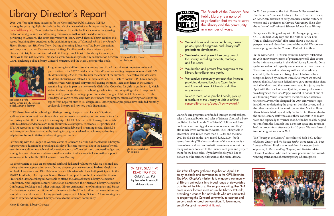## Library Director's Report

2016–2017 brought many successes for the Concord Free Public Library (CFPL). Among the year's highlights include the launch of a new website with responsive design at concordlibrary.org. Clear navigational features of the site facilitate access to the growing collection of digital media and training resources, as well as historical documents pertaining to Concord. The 200th anniversary of Henry David Thoreau's birth resulted in a record-breaking 250+ attendees at the exhibition opening of *"Concord, which is my Rome": Henry Thoreau and His Home Town*. During the spring, Library staff led book discussions and programs based on Thoreau's essay *Walking*. Families marked the anniversary with a literary train trip between Concord and Fitchburg complete with blackberry ice cream, a Story Walk, and nature crafts. This special event was made possible by collaboration between Veronica Robles concert CFPL, Fitchburg Public Library, Concord Museum, and the Mass Center for the Book.



on the lawn.

*The Next Chapter* gathered together on April 1 to enjoy cocktails and conversation in the CFPL Rotunda. *The Next Chapter*'s mission is to engage a community of Library enthusiasts in a broad range of stewardship activities at the Library. The supporters will gather 3–4 times a year for free meet-ups in the Library Rotunda, providing a chance for individuals who are committed to supporting the Concord community to connect and enjoy a night of great conversation. To learn more, email Marcy at meckel@minlib.net.

 The Friends of the Concord Free Public Library is a nonprofit organization that works to serve the Library and the community in a number of ways.

Our gifts and programs are funded through memberships, sales of donated books, and sales of *Historic Concord*, a book published by the Friends. The Friends' Holiday and June book sales are our biggest sources of revenue, and they're also much-loved community events. The Holiday Sale in December 2016 raised more than \$10,000 and the June 2017 Book Sale on the lawn raised \$23,421.00 – both record-breaking! The heart and soul of this operation is a team of over a dozen enthusiastic volunteers who sort the many volumes donated to the Friends each year and prepare them for the book sales. If you have books you'd like to donate, see the reference librarian at the Main Library.

- > We fund book and media purchases, museum passes, special programs, and Library staff professional development.
- We develop and present free programs at > the Library, including concerts, readings, and film series. Ī
- > We develop and present free programs at the Library for children and youth.
- > We conduct community outreach that includes providing donated books to Open Table and Concord Prison Outreach and other organizations.
	- To learn more, or to join the Friends, pick up a brochure at the Library or visit us online: concordlibrary.org/about/how-we-work/

3D printer workshop for children.

In 2016 we presented the Ruth Ratner Miller Award for Excellence in American History to Laurel Thatcher Ulrich, an American historian of early America and the history of women and a professor at Harvard University. She is also the author of *Well-behaved Women Seldom Make History*.

We sponsor the Sing-a-long with Ed Morgan programs, CCHS Student Study Day, and the Author Series. Our "Friday Flicks at Fowler" film series shows a variety of perspectives and ideas from around the world. We sponsor several programs in the Concord Festival of Authors.



Book signing with author Grace Lin (2016 Leslie Riedel Memorial lecturer).

In the winter of 2017 "Music from the Library" celebrated its 20th anniversary season of presenting world class artists in the intimate acoustics in the Main Library Rotunda. Once again, we welcomed capacity audiences to our free concerts. The season opened in February with an extraordinary concert by the Borromeo String Quartet, followed by a reception hosted by Rebecca Purcell, to whom we extend special thanks. Anastasia Seifetdinova gave an exquisite piano recital in March and the season concluded in a jazzy way in April with the Eric Hofbauer Quintet, whose performance was designated the Hans Poppel concert in honor of one of our founding Music Committee members. Special thanks to Robert Levers, who designed the 20th anniversary logo, in addition to designing the program booklet covers, and to the other members of the music committee, Marilyn Bone Kloss, Marcia Marlow, and Sally Sanford. Our thanks also to the entire Library staff who assist these concerts in so many ways and especially to Warner Wood, who has so ably helped us transform the Rotunda into a concert space and return it back to proper form afterwards for 20 years. We look forward to another great season in 2018.

> CFPL STAFF < Reading Pick *Colette's Lost Pet*  by Isabelle Arsenault children's fiction



The "Poetry at the Library" series hosted Josh Bell, author of *Alamo Theory* and *No Planets Strike*; three-term U.S. Poet Laureate Robert Pinsky who read from his newest book of poems, *At the Foundling Hospital*; and Poet-translator Eleanor Goodman who read her own poems and her awardwinning translations of contemporary Chinese poets.



CFPL also enhanced its technology offerings through the purchase of a new 3D printer, additional self-checkout machines with an e-commerce payment option and new laptops for borrowing within the Library. On a snowy April 1st CFPL hosted a Technology Fair which 100+ residents attended to learn more about wireless hotspots, telescopes, 3D printer, and STEAM resources as well as databases and downloadable and streaming media. This fall a technology consultant assisted us by leading focus groups related to technology planning to help inform future initiatives and training opportunities.

Partnership with the League of Women Voters of Concord-Carlisle has enabled the Library to support voter education by providing a display of historic materials about the League's work over time in addition to a table of information about the Town Warrant, proposed budget, and voter guidelines. Plans are underway to offer a series of educational talks to further support awareness in time for the 2018 Concord Town Meeting.

We are fortunate to have an exceptional staff and dedicated volunteers, who we honored at a spring volunteer appreciation event. During the past year we welcomed Barbara Gugluizza as Head of Reference and Kim Tolson as Branch Librarian, who have both participated in the MMPA Leadership Development Series. Thanks to support from the Friends of the Concord Free Public Library, colleagues were able to attend the Massachusetts Library Association Conference, New England Library Association Conference, the American Library Association Conference, BookExpo and other trainings. Library Assistants Irene Cunningham and Stacey Charbonneau received certificates of achievement by the MLA Paralibrarian Association, and several staff members are exploring graduate programs in Library Science. All are seeking new ways to expand and improve Library services to the Concord community.

Kerry E. Cronin, Library Director

Programming for children remains among one of the Library's most important roles and participation in the 2017 "Build a Better World" summer reading program increased with 321 children reading 223,846 minutes over the course of the summer. The creative and dedicated children's librarians also offered a fall series entitled, "101 Picture Books CFPL Loves" for ages birth to 5 years with special story times featuring the titles. Teen attendance at the Library remains high due in part to a new weekly Girls Who Code club for girls in grades 6 -12, which strives to close the gender gap in technology, while teaching computing skills. In response to an interest by parents in coding opportunities for younger children, CFPL launched "Tech Tuesdays" on early release days with instructors from Empow Studios offering workshops on topics from Lego robotics to 3D design skills. Other popular programs have included monthly cookbook, literary, and mystery book discussions.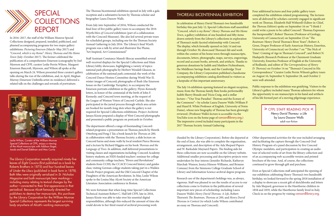

Leslie Wilson, Curator of the William Munroe Special Collections at CFPL, enjoys a viewing of the Alcott manuscripts with Addison Boger, Jacob and Daniel Edelman and Max Currie.

In 2016–2017, the staff of the William Munroe Special Collections designed, prepared, installed, publicized, and planned accompanying programs for two major gallery exhibitions: *Picturing Emerson* (March–May 2017) and *"Concord, which is my Rome": Henry Thoreau and His Home Town* (July–October 2017). The former celebrated the publication of a comprehensive Emerson iconography by Joel Myerson and CFPL curator Leslie Perrin Wilson. Margaret Emerson Bancroft, Myerson, and Wilson all spoke at the opening on March 24. Wilson presented three curator's gallery talks during the run of the exhibition, and, in April, Meghan Murray (Emerson Umbrella artist-in-residence) delivered a related talk on the challenges and rewards of portraiture.

The Thoreau bicentennial exhibition opened in July with a gala reception and a substantive lecture by Thoreau scholar and biographer Laura Dassow Walls.

From July into September of 2016, Wilson conducted the final four of five public gallery tours to accompany the 2016 Wyeth/*Men of Concord* exhibition (part of a collaboration with the Concord Museum). She also led several private tours for scheduled groups, including one for the Thoreau Society Annual Gathering in July 2016. The Library's final Wyeth program was a talk by artist and illustrator Ilse Plume, "Art Inspired, Art Commissioned."

Staff Assistant Constance Manoli-Skocay assembled several well-received displays for the Special Collections and Main Library lobby showcases, highlighting a variety of topics: national park photographs by Herbert Wendell Gleason, in celebration of the national park centennial; the work of the Concord Dance Hostess Committee during World War II; winter images of Concord; photographs of Bush (the Emerson house on the Cambridge Turnpike), to accompany the Emerson portraits exhibition in the gallery; Flynn-Kennedy letters, in honor of the centennial of the birth of John F. Kennedy; and Concord town meeting, at the request of the League of Women Voters of Concord-Carlisle. She also participated in the juried process through which area artists are booked for month-long slots when the gallery is not required for Special Collections exhibitions. Project Archivist Janaya Kizzie prepared a display of West Concord photographs and presented a public program on postcards in October.

The Library Corporation recently acquired ninety-five leaves of *Eight Cousins* (first published as a book by Roberts Brothers in 1875) and four hundred leaves of *Under the Lilacs* (published in book form in 1878). Both titles were originally serialized in *St. Nicholas Magazine* and both manuscripts bear markings including many relating to textual changes by the author—connected to their first appearance in that periodical. Because Alcott famously directed her publishers to destroy her manuscripts, this purchase by the Library Corporation for the William Munroe Special Collections represents the largest surviving body anywhere of Alcott's working manuscripts.

The department offered a range of freestanding Concordrelated programs: a presentation on Thoreau pencils by Henrik Otterberg and Feng-I Tai; a book launch for *Thoreau at 200*, in collaboration with the Thoreau Society; a slide lecture on Concord barns and stone walls by local resident Pierce Browne; and a lecture by Richard Higgins on his book *Thoreau and the Language of Trees*. In addition, staff delivered presentations to visiting classes and organizations including: Concord Academy history students; an NEH-funded teachers' seminar for college and community college teachers; "Rivers and Revolutions" students from CCHS; the CCACE Concord history and guides class; visiting German college students taking part in a Walden Woods Project program; and the Old Concord Chapter of the Daughters of the American Revolution. In May, Leslie Wilson spoke to the Louisa May Alcott Society at the American Literature Association conference in Boston.

We were fortunate that when long-time Special Collections Technical Assistant Robert C. Hall left CFPL late in 2016, Janaya Kizzie was able to take over his essential digital responsibilities, although this reduced the amount of time she could devote to her third round of archival processing work



(funded by the Library Corporation). Before she departed the end of June, she was able to complete the organization, arrangement, and description of the Ada Shepard Papers and W. Barksdale Maynard Papers. The finding aids for these collections are now accessible on the Library website. Additional smaller processing and descriptive projects were undertaken by four interns (Jennifer Richards, Katheryn Marchak-Wansor, Jessica Hinson-Williams, and Brianne Comeau) from the Simmons College Graduate School of Library and Information Science archival degree program.

| at | Other departmental activities for the year included arranging  |
|----|----------------------------------------------------------------|
| ,  | and facilitating the capture through the Concord Oral          |
|    | History Program of a panel discussion by five Concord          |
|    | Olympic medalists, and participation in creating an audio      |
| ž. | tour of selected works of art from the library collection and  |
| re | of an accompanying web-accessible version and printed          |
|    | brochure of the tour. And, of course, the collections          |
|    | continued to grow through gift and purchase.                   |
|    | Even as Special Collections staff anticipated the opening of   |
|    | our exhibition celebrating Henry Thoreau's two hundredth       |
|    | birthday, we looked forward to the spring 2018 installation of |
| ır | a display to showcase a recent gift of sketchbooks and letters |
|    | by Ada Shepard, governess to the Hawthorne children in         |
|    | 1858 and 1859, while the Hawthorne family lived in Italy.      |
|    | Check in on the progress by visiting concordibrary.org.        |
|    |                                                                |

In celebration of Henry David Thoreau's two hundredth birthday this past July 12, Special Collections staff assembled *"Concord, which is my Rome": Henry Thoreau and His Home Town*, a gallery exhibition of one hundred and fifty items drawn entirely from the Library's collections in exploration of Thoreau's multi-faceted relationship with Concord. The display, which formally opened on July 14 and ran through October 30, showcased Thoreau's life and work within the context of his home town through manuscripts, documents, letters, photographs, maps, surveys, engravings, record and account books, artwork, and artifacts. Thanks to generous donations by Judith and Matthew Fichtenbaum, the Middlesex Savings Bank, and the Cambridge Trust Company, the Library Corporation published a handsome accompanying exhibition catalog distributed to visitors as a keepsake of this important anniversary.

#### THOREAU BICENTENNIAL EXHIBITION

Four additional lectures and four public gallery tours

completed the exhibition-related programming. The lectures

were all delivered by scholars currently engaged in significant work on Thoreau. Elizabeth Hall Witherell (Editor-in-Chief, the *Thoreau Edition*) spoke on September 16 on "'I think I could write a poem to be called Concord': Thoreau Expresses the Inexpressible"; Robert Thorson (Professor of Geology, University of Connecticut) on September 23 on "*The Boatman*: Henry David Thoreau's River Years"; Robert A. Gross, Draper Professor of Early American History, Emeritus, University of Connecticut) on October 7 on "'The Nick of Time': Coming of Age in Thoreau's Concord"; and Robert N. Hudspeth (Research Professor at the Claremont Graduate University, Emeritus Professor of English at the University of Redlands, and editor of *The Correspondence of Henry D. Thoreau*) on October 14 on "Thoreau's Concord in His Correspondence." Curator Leslie Perrin Wilson's gallery tours on August 16, September 9, September 28, and October 2 were well-attended.

The July 14 exhibition opening featured an elegant reception, music from the Thoreau family flute books performedby Judith Sherry Braude and Tricia Craig, and a stellar lecture—"'Our True Paradise': Thoreau and the Ecstasy of the Commons"—by scholar Laura Dassow Walls (William P. and Hazel B. White Professor of English, University of Notre Dame), whose new biography of Thoreau has been glowingly reviewed. (Professor Walls's lecture is accessible via the YouTube icon on the home page of **concordlibrary.org.**) The impressive crowd included many participants in the 2017 Thoreau Society Annual Gathering. Public response to the exhibition was gratifying. Visitors to the Library's gallery included many Thoreau admirers for whom the opportunity to see manuscripts in his hand and artifacts of his life formed part of a moving pilgrimage experience.  $>$  CFPL STAFF READING PICK  $<$ *Henry David Thoreau: a Life*  by Laura Dassow Walls adult non-fiction

Research use of the department's holdings was, as always, vigorous. Staff was pleased to see the results of access to our collections come to fruition in the publication of several important new pieces of scholarship, including Laura Dassow Walls's *Henry David Thoreau: A Life*, Robert Thorson's *The Boatman*, *Thoreau at 200*, and *Henry David Thoreau in Context* (to which Leslie Wilson contributed an essay on Thoreau and Concord).

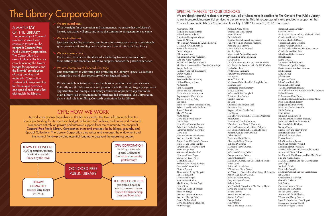## The Library Corporation

Anonymous (38) William and Susan Adams Jeff and Andrea Adams Francis and Margaret Ahearn Karen C. Ahearn Mr. Jonathan Aibel and Ms. Julie Rohwein Dean and Vivienne Aldrich Karen Allen-Maguire Esther Almgren Lillian Anderson Kenneth and Lynda Anderson Cato and Alexa Anderson Richard and Marilyn Anderson Mr. Tim Andrews and Ms. Valerie Cummings Joseph Andrews Rodney P. and Judith Andrews Shirley Andrews Kathryn Angell Reed and Barbara Anthony Neil and Nancy Arkuss Al Armenti Ruth Armknecht Robert and Sue Armstrong David and Ann Asadoorian Representative Cory Atkins Thomas and Ann Bailey Bee Baker Baker Root Family Foundation, Inc. Robert L. and Pamela Baldwin Susan E. Baldwin Mary T. Barbaro Anita Barker David and Beverly Barney Dorrie Bean Henry P. and Jeannie Becton Robert and Katherine Beede Reinier and Nancy Beeuwkes David Bell Alan and Michele Bembenek John and Jennifer Bemis Arthur L. and Roberta L. Benson James H. and Linda Bentley Edward and Dorothy Bernard Burke and Jo Bero Warner and Ann Berthoff Henry and Janet Beyer Walter and Susan Birge Donald Blackmer Timothy and Shirley Blancke Peter and Cristina Blau Eleanor Blayney Timothy and Becky Blodgett Rebecca Blodgett Constance Blodgett Peter and Sarah Blum Matthew and Lindsay Boger Nancy Bond Andy and Melissa Bonzagni Brandon Botbyl John and Johanna Boynton John and Marilyn Brady George W. Bramhall David and Patricia Braunegg Audrey Briggs

Rick and Peggy Briggs Thomas and Diane Briner Susan Brinner Patricia Brodie Thomas Brosnahan and Jane Fisher Nancy Brown and George Koslosky Pebo and Elise Browne David F. and Ann Brownell Sara Brydges John H. and Patricia Buchanan Irwin and Dr. Linda Buchwald Sarah G. Bull Dr. Carlo Buonomo and Dr. Suzanne Koven Ms. Bettina Burbank and Mr. Paul H. Kirshen Louisa Burnham Frederick A. Burnham Kimberly and Dennis Burns Tori Burns Anne T. Buttrick Mr. Steven Cadwell and Mr. Joseph Levine Maura E. Cain Cambridge Trust Company Joan A. Campbell Jeffrey and Ellen Campbell Frank and Sue Cannon Carolyn Cardwell Ira Carp Charles E. and Eleanor Carr Patricia A. Carr Stephen W. and Candy Carr Liza Carter Mr. Jeffrey Caruso and Ms. Melissa Weiksnar Paula Casey Thomas and Candy Cashman Woodley L. and Mary E. Chapman Ms. Les Charm and Mrs. Karen Belinsky Ms. Lavinia Chase and Ms. Edith Springer Richard A. and Maria Churchill Deborah Clark David and Mary Clarke Chuck and Gloria Clough Jack and Di Clymer Mark and Theresa Cohen Judith Cole Jeffrey and Christa Collins George and Ann Colony Concord Academy Mr. John G. Conley and Ms. Elizabeth Awalt Helen Cook Felice and Leland Cott William and Linda Cotter Mr. Warren L. Covert, Jr. and Ms. Mary M. Fenoglio Robert C. and Mary Cowen John and Holly Cratsley Greg and Lynn Creamer Sally S. Cross Ms. Elizabeth Crowell and Ms. Cheryl Flynn David and Helen Crowell Joanne Crowell Aiyana and Mike Currie Samuel E. Cutler George Dallas Henry Dane Ronald and Holly Darzen

James and Laura Davidian Carolyn Davies Mr. Eric W. Davies and Ms. Melissa E. Wahl Charles and Patricia Davis Lyle and Elizabeth Davis Thomas and Diana Dawkins Debra's Natural Gourmet Mr. Michael Decker and Ms. Susan Oman Charles W. and Dari Dee John H. and Ellen Denison Robert Derry Elaine DiCicco Thomas G. and Mimi Doe William and Cynthia Doggett David Douglas and Pam Gannon Emily Drazen Kitty DuFour Julie Dutton Marguerite Eberle John C. and Emily Eck Susan and Mitch Eckel Tara and Michael Edelman Mr. Richard W. Eifler and Ms. Merill L. Comeau Richard Epstein H. Mason and Lou Fackert Mr. Richard Fahlander and Ms. Kathy Allen Peter B. and Sarah Farrow Joseph and Laura Favorito Mario and Corina Favorito Sheila Feinberg Fenn School John and Joan Ferguson Paul and Devra Feshbach-Meriney Judith and Matthew Fichtenbaum Barry and Odile Fidelman Barbara Finan Dennis Fiori and Peggy Burke Robert and Sheila Flory John and Kathryn Flynn Doreen Forney John N. and Ann Fossett Stuart and Barbara Freeland Daniel and Janet Friedman Friends of the Concord Free Public Library Arthur and Diane Fulman Mr. Elmer N. Funkhouser and Ms. Kate Stout Neil and Angela Gaeta Ms. Lois Gallagher and Ms. Stacey Durkin Josh Galper Ashley R. Galvin Frances B. Gardella Mr. James Garland and Ms. Carol Anreae Jeff Garland Christopher A. Garrison Granville C. Garth Jack George Cyrus and Joanne Gibson Douglas and Jan Gifford Ira and Verna Gilbert Andrew and Pat Goldstein Warren and Nancy Goorno Jayne K. Gordon and Don Bogart George and Carolyn Gould Brian and Virgina Gourlie

#### SPECIAL THANKS TO OUR DONORS

We are deeply grateful to donors at every level, all of whom make it possible for The Concord Free Public Library Concord Free Public Library Corporation from July 1, 2016 to June 30, 2017. Thank you!

## to continue providing essential services to our community. This list recognizes gifts and pledges in support of the

#### CFPL: How we work

A productive partnership advances the Library's work. The Town of Concord allocates municipal funding for its operation budget, including staff, utilities, and books and materials. Dependent entirely on private philanthropic support from the community, the nonprofit Concord Free Public Library Corporation owns and oversees the buildings, grounds, and Special Collections. The Library Corporation also raises and manages the endowment and the Annual Fund—providing essential funding to augment the operating budget.

#### We are guardians.

With oversight for preservation and maintenance, we ensure that the Library's historic structures will grace and serve the community for generations to come.

#### We are trailblazers.

Spearheading facility expansion and innovation—from new spaces to sustainable systems—we meet evolving needs and forge a vibrant future for the Library.

#### We are conservators.

Plants, lawn, benches, or the shade of a sheltering tree on a summer day these settings and amenities, which we support, enhance the patron experience.

#### We are champions of Concord's heritage.

Our commitment to cultivating and protecting the Library's Special Collections undergirds a world-class repository of New England culture.

We also contribute to initiatives such as book acquisitions and special events. Critically, our flexible resources and process enable the Library to grasp significant opportunities. For example, our timely acquisition of property adjacent to the Main Library laid the foundation for much needed expansion. The Corporation plays a vital role in fulfilling Concord's aspirations for its Library.



#### A Mainstay of the Library

The generosity of Concord residents created, and continues to sustain, the nonprofit Concord Free Public Library Corporation. The Corporation is a central pillar of the Library, complementing the Town's budget for operations and the Friends' contribution of programming and materials. Corporation Trustees hold responsibility for the unique premises and special collections that distinguish the Library.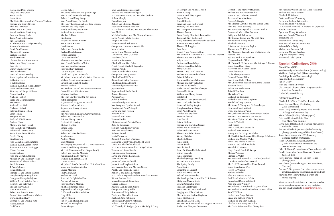Harold and Doris Goyette Lloyd and June Grace Kevin Grady David Gray Ms. Claire Greene and Mr. Thomas Titchener Richard and Claire Greene Phill and Liz Gross Robert and Ann Gross Patrick and Priscilla Guiney Brad and Tracey Guth Terry P. and Judy Hadley Jim Hagerstrom H. Thurston and Carolyn Handley Sharon Abra Hanen Carol Ann Hannan Margaret C. Harding Barbara Harding Randie Harmon Christopher and Susan Harris Robert and Mary Hartman John Harvey Shirley Hatch-Sorrenti John Hawkinson Don and Pamela Hawley Anne Hayden and Ivan Burns Catherine Hayes F. Whiting Hays William L. and Dr. Angela Healy David and Susan Hegarty Timothy and Tanya Hellman Nancy Hendrie Nicholas Herbert Barry and Connie Hershey Bette Hess Karl and Lori Hick Nicholas Hiebert Peter and Joanie Hilton Sarah Hindle Margaret Hixon Paul and Ellie Horwitz Barbara Howe Mark L. and Pam Howell John R. and Nancy Huggins Jeffrey and Dariane Hunt Kevin P. and Susan Hurley Gerald Hurley Ilisa Hurowitz John C. and Eleanor Hutchins William L. and Lauren Huyett Stephen and Anne Irza-Leggat Halvor Iverson Carrie Jackson John and Gretchen Jackson Michael D. and Rosemary Jeans Kenneth and Abigail Jeffers Joel F. Johnson T. Scott Johnson Ronald Johnson Richard H. and Louise Johnson Douglas and Jennifer Johnson George and Mary-Beth Jones William R. and Kristina Joyce Henry S. and Betsy Julier Bill and Mary Kaiser Janet Kaminstein Robert and Patricia Kane Edward Kane and Martha Wallace David and Enid Karr Stephen A. and Cynthia Katz Alice Kaufman Gail Keane

Dorrie Kehoe Mr. James Kelley and Ms. Judith Segal John H. and Annabelle Kellogg Robert L. and Mary Kemp John A. and Nancy-Jo Kessler Mr. Henry Keutman and Ms. Ilene Gipson Jonathan and Judy Keyes Jared S. and Song-Mei Keyes Paul and Bettina Kirshen Marilyn B. Kloss Rita Knapp Joseph and Pamela Koontz Rev. Kramer Kramer Carol Krauss Robert and Bonny Kusik Karl and Sarah Kussin Phyllis Lachman David Lamensdorf Alexander and Debbie Lamont John D. and Cynthia LaMothe John and Caroline Langan Peter and Judy LaRocca Lou and Rajani Larocca Gerald and Lydia Lauderdale Mr. Johan Laurent and Ms. Krista Huybrechts William A. and Joan Lawrence, II Edward and Elizabeth Leclair Kristina Leclaire Mr. Andrew Lee and Ms. Teresa Marzucco Donald E. and Alice Lencioni Winifred Lenihan Ms. Fran Lewitter and Mr. Jon Sutton Judith Lieberman A. James and Margaret M. Lincoln Thomas J. and Joan Litle Stephen and Sherry Litwack Ling Liu Mr. Peter Ljutich and Ms. Carolyn Bottum Robert and Janice Locke Phil and Nancy Lotane Fred and Jill Lovejoy Michael J. Lydon Sandra Lynn Gail Madjid Robert and Nobuko Maeda Jean Maestre Andrew Magee Janet Maguire Mr. Gregory Maguire and Mr. Andy Newman James E. and Nancy Manson Mr. Luis Marentes and Ms. Negar Taradji Robert and Priscilla Marquis Kenneth and Judith Marriner William T. and Janet Mason Louisa Mattson Mr. John C. McCarthy and Ms. E. Andrea Brox James and Caroline McCloy Lauren McClure Paul O. McGinn Michael McGrath Tom and Dr. Sylvia McKean Barbara McKenna Peter and Carol Meenan Middlesex Savings Bank Raymond F. and Margot Miller C. Kenneth and Dorcas Miller Lucy Miller Robert Minton Robert E. and Sarah Mitchell Richard W. Monaghan Bruce Morgan

John J. and Kathleen Moriarty Victoria and Frederic Mulligan Ms. Katharine Munro and Mr. John Graham A. Jane Murphy Daniel Murphy Robert and Christine Najarian Todd and Elizabeth Needham Mr. William R. Neill and Ms. Barbara Allen Morse Jane Neill Mr. John Nevison and Ms. Nancy McJennett David A. and Natalie K. Niles Virginia M. Niles Theresa Nimick Whiteside George and Constance Ann Noble Joanne Nolan David P. and Melissa Norton Daniel and Diane O'Connell Kathleen O'Hara Frank A. Okurowski Charles D. and Gari Palmer Frank N. and Elizabeth Paparello Thomas Parish Kevin R. and Leila E. Parke George and Nancy Parker Charles F. and Eli Parker Richard and Cathy Parmelee Charles and Hilda Parrott Steven and Jennifer Pascucci Joyce Paulson Raymond and Sheila Pavlik Beverly Pearson Patricia Pease Judith S. Perkins Kenneth and Judith Perrin Ned Perry and Cynthia Wood Gordon and Pam Pettengill David and Pam Pierson Barbara Pike Tom and Ruth Piper Theresa Plotkin Christopher and Patricia Popov Bette W. Pounders Stephen R. and Nancy Powell Nancy G. Powell-Daley Rebecca Purcell Louis Putterman Richard B. and Judy Quanrud Mr. David Quimby and Ms. Sue St. Croix David and Elizabeth Railsback Mr. Lance Ramshaw and Ms. Abigail Wine Thomas and Anne Rarich Neil and Anna Rasmussen David and Dimite Rasmussen Kurt Rasmussen James and Julia Reichheld James A. and Stephanie Reid Ms. Carmin Reiss and Mr. Eric Green Paul E. and Pamela K. Ressler Robert L. and Laura Reynolds Ms. Linda S. Reynolds and Mr. Patrick N. Everett Rich & Barbara Fivek Jon and Margaret Richardson Gerard E. Riedel Auguste E. and Maria Rimpel George and Nancy Robb Brandon and Kelly Roberts David and Eileen Robichaud Kurt and Amy Robinson Jefferson and Carolyn Robinson Robert L. and Jill Robitaille Mr. Timothy K. Rodgers, Jr. and Ms. Sally A. Long

We strive to make this list as accurate as possible, please accept our apologies for any mistakes. You can email updates to meckel@minlib.net.

D. Morgan and Anne M. Rood Karen L. Roop David P. and Toby Ropeik Eugene Rork Donald Rosato Brian and Lucy Rosborough Timothy and Nina Rose Ms. Crampton Rose Mary Thomas Rosen Rosse Family Charitable Foundation Terry and Kitsy Rothermel Holly Rothermel and Michael Dettelbach Stephen and Hope Rubin Thomas M. Ruggles Rose Ruze Daniel P. and Nancy H. Ryan Mr. William K. Sabine and Ms. Melita M. Teichert Thomas and Laura Sablak Toby L. Saef Burton and Fredda Sage Raleigh D. and Linda Sahl Mary H. Saltus Ernest L. and Carol Sarason Michael and Gertrude Schelzi Brian K. Schmidt David and Barbara Schmieder Michael and Sally Schnitzer Richard W. Schriefer Arthur D. and Martha Schwope Leonard M. Seale William and Sherry Seaver Estelle Sell Frederick D. and Susan Seward John J. and Judy Shanley Jacob and Shirley Shapiro Douglas and Ann Sharpe Sarah Angell Sharpe Gordon and Joy Shaw Brendan Shepard Jane Sherrill Kristin Siciliano Richard and Christine Siegrist Robert and Karen Silver Adam and Amy Simon Thomas and Edith Sisson Wendy Slattebo Elizabeth Sluder James Smith Darien Smith Priscilla Smith Sandy Smith and Sally Sanford Shirley Socorelis James Sommers Elizabeth (Betsy) Spaulding Richard and Anne Speer The Spring Family Anne Squire Samantha St. Laurent Wade and Mary Staniar Bill and Marian Stanley Ms. Penelope Staples and Mr. C. R. Moore Philip and Marsha Stark Stearns Charitable Trust Paul and Carol Steele Mark Stein and Rosa Hallowell Langley and Hilary Steinert Melvin A. and Pauline Stephens Janice Stephenson Ernest and Marcia Stern Mr. John M. Stevens and Ms. Virginia McIntyre Arthur and Margaret Stevenson

Donald T. and Marjory Stevenson Michael and Rose Marie Stiffler James H. and Deborah Stoessel Steven and Jennifer Stone Pamela S. Sturgis Ms. Eleanor C. Sudler and Mr. Walter Littell John and Linda Sweeney Ms. Pamela Swing and Mr. Martin Plotkin Parker and Mary-Alice Symmes Kathy and Tak Takvorian Mr. Thomas Tarpey and Ms. C.C. King Kenneth and Wendy Taubes Elizabeth Taverner J. Arthur and Jeannette Taylor Thomas and Nell Taylor Mr. Alexander Tedeschi and Dr. Kathryn Oh Patricia Teele Ted and Ruth Ann Teitelman Hagos and Anita Tekle Mr. Donald R. Terhune and Ms. Kathryn E. Bowers James B. and Judy Terry Harvey H. and Valerie Thayer Irene Thompson Gaille Thompson-Matta Dan and Dorcas Tilles John S. and Cathy Tilney Mr. Christopher Todd and Ms. Irene Draesel Suzanne Torrisi Adrian and Leslie Touw Takeshi Toyohara Ms. Valery True Carl and Jan Turnquist Willard R. and Anne Umphrey Randall and Kay Upham Mr. James A. Vahey and Dr. Joan Eagan Henry and Janet Vaillant Cyrus and Sousan Vakili Mr. Carl Valvo and Ms. Mavourneen Pardee Francis X. and Marjorie Van Houten Mr. Viktor Vejins and Ms. Libby Kurten Frona B. Vicksell Paul Vinger John A. and Janet Vitkevich Paul and Irene Vouros Jeremy and Dr. Margaret Wailes Mr. David A. Waldman and Ms. Carolyn E. Schwartz William and Martha Walker Ellis E. and Phyllis P. Walker James N. and Judith Walpole Meredith C. Weaver Hugh G. and Carole C. Wedge Melissa Weiksnar Richard E. Welch Mr. Mark Weltner and Ms. Sandra Crawford L. Richard and Barbara Wenzel Mr. Fred Wersan and Ms. Paula Posnick James L. and Alice West Joseph C. Wheeler Barbara Wheeler Alan and Patricia White Paul F. and Marcia N. White Ronald and Deena Whitfield Alan and Lois Whitney Mr. Jeffrey S. Wieand and Ms. Janet Silver Mr. Michael E. Wiklund and Ms. Amy E. Allen Sara W. Wilbur Herbert and Angie Wilkins Bruce and Patricia Willard William H. and Sally Williams Charles V. and Mary Sue Willie Mr. David Wilson and Ms. Nancy Rea

Mr. Kenneth Wilson and Ms. Linda Hardiman Michael and Leslie Wilson Elizabeth H. Wilson Carter and Lissa Winstanley David and Barbara Winstanley Adam and Susie Winstanley Dr. F. Russell Wolf and Dr. Martha W. Gilpatrick Ethel B. Woodman Byron and Kelvey Woodman John and Beverly Woodward TsueyRong Wu Shaw and Dr. Louise Yang Hon Hoi and Barbara Homer Yee Kris and Carol Yerby Michael and Roxanne Zak David and Miriam Zarchan Chip and Margaret Ziering Steven and Dale Zippin

#### Special Collections Gifts

FINANCIAL GIFTS: Matthew and Judith Fichtenbaum (Thoreau catalog) Middlesex Savings Bank (Thoreau catalog) Cambridge Trust (Thoreau catalog) Reed and Barbara Anthony Robert Derry John and Johanna Boynton Old Concord Chapter of the Daughters of the American Revolution Louisa May Alcott Society

#### GIFTS OF MATERIALS:

Elizabeth R. Wilson (Let's Face It materials) Susan Dee and Sherry Dee Mobley (Civil War letters) Susan Dee (Dee family papers; also, Friends of Sleepy Hollow materials) Maris Delano (Sterling Delano papers) Peter and Cristina Coletta Blau (two Mary Pope paintings) David Wood (first edition of Louisa May Alcott's *Under the Lilacs*) Barbara Wheeler LaJeunesse (Wheeler family photographs–farming at Nine Acre Corner) Susan Koval (composite of 19th-century Concord portrait photographs) Helen R. Cook and Abigail Kazanowski (Locke-Davis archive, nineteenth and twentieth centuries) Helen R. Cook (Country Store of Concord materials) Gerald Lauderdale (bound issues of *Gleason's Pictorial*, 1852) Pierce Browne (paper on Hepburn House; photographs) Ben Chaset (items relating to 1623 Main Street, Concord) Barbara D. Bergemann (two nineteenth-century envelopes, relating to Ephraim and Mrs. Bull) Marjorie Brett (Edward Jarvis Bartlett and related papers)